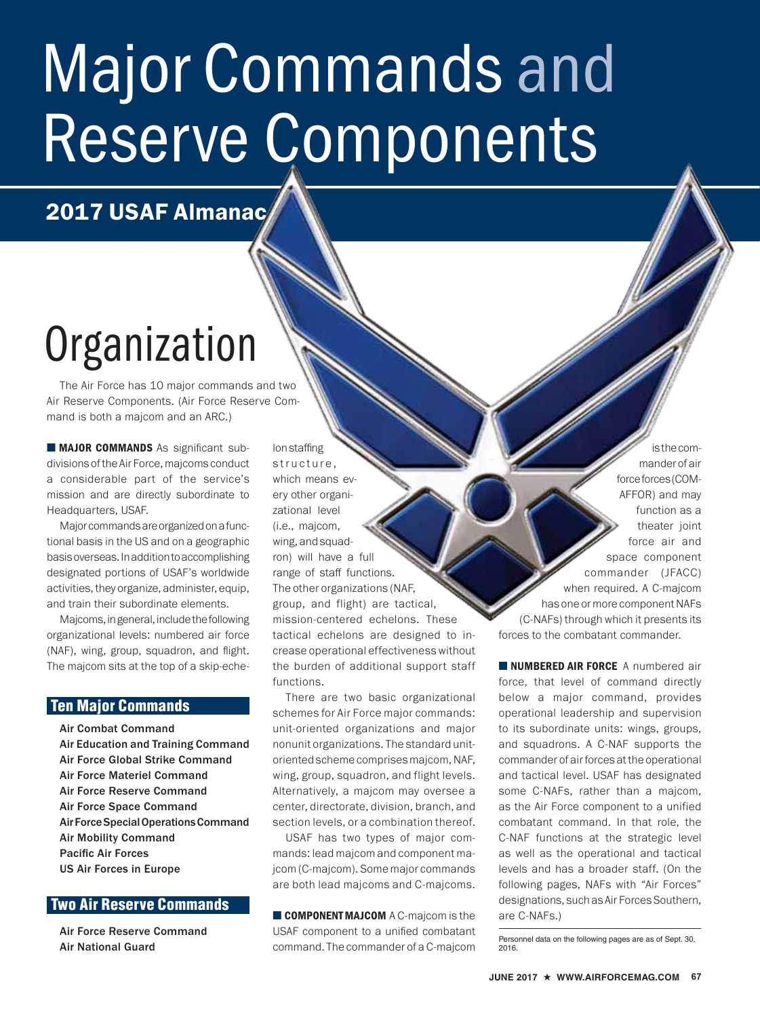# Major Commands and Reserve Components

2017 USAF Almanac

## **Organization**

The Air Force has 10 major commands and two Air Reserve Components. (Air Force Reserve Command is both a majcom and an ARC.)

■ MAJOR COMMANDS As significant subdivisions of the Air Force, majcoms conduct a considerable part of the service's mission and are directly subordinate to Headquarters, USAF.

Major commands are organized on a functional basis in the US and on a geographic basis overseas. In addition to accomplishing designated portions of USAF's worldwide activities, they organize, administer, equip, and train their subordinate elements.

Majcoms, in general, include the following organizational levels: numbered air force (NAF), wing, group, squadron, and flight. The majcom sits at the top of a skip-eche-

## Ten Major Commands

Air Combat Command Air Education and Training Command Air Force Global Strike Command Air Force Materiel Command Air Force Reserve Command Air Force Space Command Air Force Special Operations Command Air Mobility Command Pacific Air Forces US Air Forces in Europe

## Two Air Reserve Commands

Air Force Reserve Command Air National Guard

lon staffing structure, which means every other organizational level (i.e., majcom, wing, and squadron) will have a full range of staff functions. The other organizations (NAF, group, and flight) are tactical, mission-centered echelons. These tactical echelons are designed to increase operational effectiveness without the burden of additional support staff functions.

There are two basic organizational schemes for Air Force major commands: unit-oriented organizations and major nonunit organizations. The standard unitoriented scheme comprises majcom, NAF, wing, group, squadron, and flight levels. Alternatively, a majcom may oversee a center, directorate, division, branch, and section levels, or a combination thereof.

USAF has two types of major commands: lead majcom and component majcom (C-majcom). Some major commands are both lead majcoms and C-majcoms.

■ **COMPONENT MAJCOM** A C-maicom is the USAF component to a unified combatant command. The commander of a C-majcom

is the commander of air force forces (COM-AFFOR) and may function as a theater joint force air and space component commander (JFACC) when required. A C-majcom has one or more component NAFs (C-NAFs) through which it presents its forces to the combatant commander.

**NUMBERED AIR FORCE** A numbered air force, that level of command directly below a major command, provides operational leadership and supervision to its subordinate units: wings, groups, and squadrons. A C-NAF supports the commander of air forces at the operational and tactical level. USAF has designated some C-NAFs, rather than a majcom, as the Air Force component to a unified combatant command. In that role, the C-NAF functions at the strategic level as well as the operational and tactical levels and has a broader staff. (On the following pages, NAFs with "Air Forces" designations, such as Air Forces Southern, are C-NAFs.)

Personnel data on the following pages are as of Sept. 30, 2016.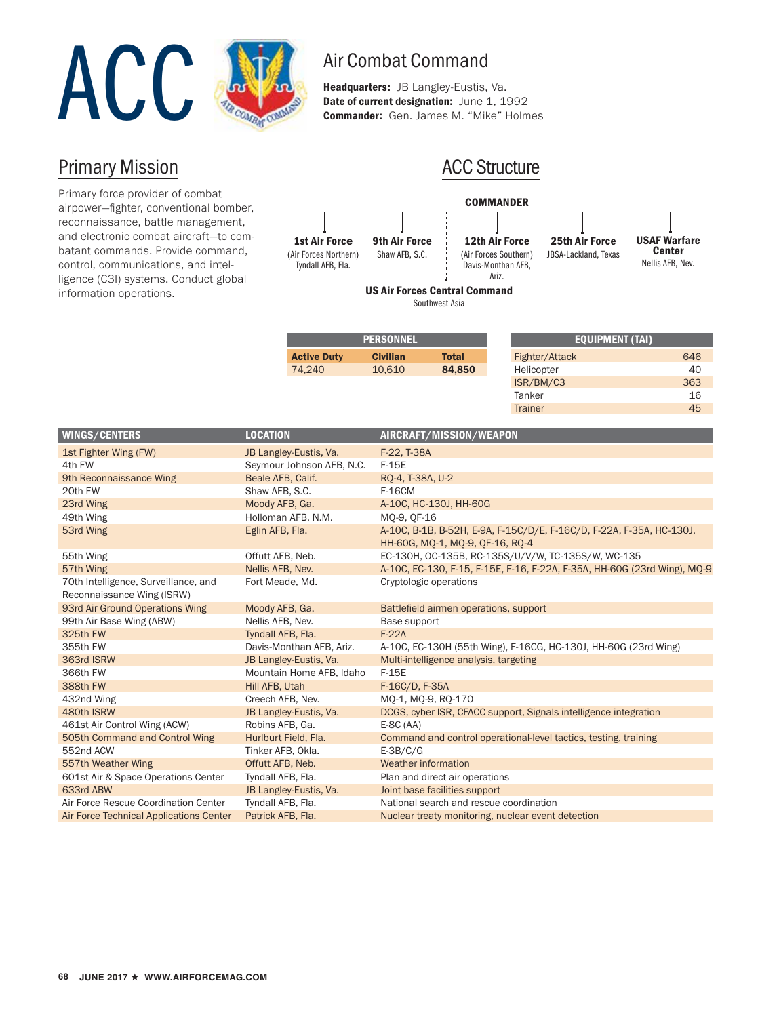

Headquarters: JB Langley-Eustis, Va. Date of current designation: June 1, 1992 Commander: Gen. James M. "Mike" Holmes

## Primary Mission

Primary force provider of combat airpower—fighter, conventional bomber, reconnaissance, battle management, and electronic combat aircraft—to combatant commands. Provide command, control, communications, and intelligence (C3I) systems. Conduct global information operations.



Southwest Asia

|                    | <b>PERSONNEL</b> |              |            |
|--------------------|------------------|--------------|------------|
| <b>Active Duty</b> | <b>Civilian</b>  | <b>Total</b> | Figl       |
| 74.240             | 10.610           | 84,850       | Hel        |
|                    |                  |              | $\sqrt{2}$ |

| <b>EQUIPMENT (TAI)</b> |     |
|------------------------|-----|
| Fighter/Attack         | 646 |
| Helicopter             | 40  |
| ISR/BM/C3              | 363 |
| Tanker                 | 16  |
| <b>Trainer</b>         | 45  |
|                        |     |

| <b>WINGS/CENTERS</b>                    | <b>LOCATION</b>           | AIRCRAFT/MISSION/WEAPON                                                  |
|-----------------------------------------|---------------------------|--------------------------------------------------------------------------|
| 1st Fighter Wing (FW)                   | JB Langley-Eustis, Va.    | F-22, T-38A                                                              |
| 4th FW                                  | Seymour Johnson AFB, N.C. | $F-15E$                                                                  |
| 9th Reconnaissance Wing                 | Beale AFB, Calif.         | RQ-4, T-38A, U-2                                                         |
| 20th FW                                 | Shaw AFB, S.C.            | <b>F-16CM</b>                                                            |
| 23rd Wing                               | Moody AFB, Ga.            | A-10C, HC-130J, HH-60G                                                   |
| 49th Wing                               | Holloman AFB, N.M.        | MO-9, OF-16                                                              |
| 53rd Wing                               | Eglin AFB, Fla.           | A-10C, B-1B, B-52H, E-9A, F-15C/D/E, F-16C/D, F-22A, F-35A, HC-130J,     |
|                                         |                           | HH-60G, MQ-1, MQ-9, QF-16, RQ-4                                          |
| 55th Wing                               | Offutt AFB, Neb.          | EC-130H, OC-135B, RC-135S/U/V/W, TC-135S/W, WC-135                       |
| 57th Wing                               | Nellis AFB, Nev.          | A-10C, EC-130, F-15, F-15E, F-16, F-22A, F-35A, HH-60G (23rd Wing), MQ-9 |
| 70th Intelligence, Surveillance, and    | Fort Meade, Md.           | Cryptologic operations                                                   |
| Reconnaissance Wing (ISRW)              |                           |                                                                          |
| 93rd Air Ground Operations Wing         | Moody AFB, Ga.            | Battlefield airmen operations, support                                   |
| 99th Air Base Wing (ABW)                | Nellis AFB, Nev.          | Base support                                                             |
| 325th FW                                | Tyndall AFB, Fla.         | $F-22A$                                                                  |
| 355th FW                                | Davis-Monthan AFB, Ariz.  | A-10C, EC-130H (55th Wing), F-16CG, HC-130J, HH-60G (23rd Wing)          |
| 363rd ISRW                              | JB Langley-Eustis, Va.    | Multi-intelligence analysis, targeting                                   |
| 366th FW                                | Mountain Home AFB, Idaho  | $F-15E$                                                                  |
| 388th FW                                | Hill AFB, Utah            | F-16C/D, F-35A                                                           |
| 432nd Wing                              | Creech AFB, Nev.          | MO-1, MO-9, RO-170                                                       |
| 480th ISRW                              | JB Langley-Eustis, Va.    | DCGS, cyber ISR, CFACC support, Signals intelligence integration         |
| 461st Air Control Wing (ACW)            | Robins AFB, Ga.           | $E-8C(AA)$                                                               |
| 505th Command and Control Wing          | Hurlburt Field, Fla.      | Command and control operational-level tactics, testing, training         |
| 552nd ACW                               | Tinker AFB, Okla.         | $E-3B/C/G$                                                               |
| 557th Weather Wing                      | Offutt AFB, Neb.          | Weather information                                                      |
| 601st Air & Space Operations Center     | Tyndall AFB, Fla.         | Plan and direct air operations                                           |
| 633rd ABW                               | JB Langley-Eustis, Va.    | Joint base facilities support                                            |
| Air Force Rescue Coordination Center    | Tyndall AFB, Fla.         | National search and rescue coordination                                  |
| Air Force Technical Applications Center | Patrick AFB, Fla.         | Nuclear treaty monitoring, nuclear event detection                       |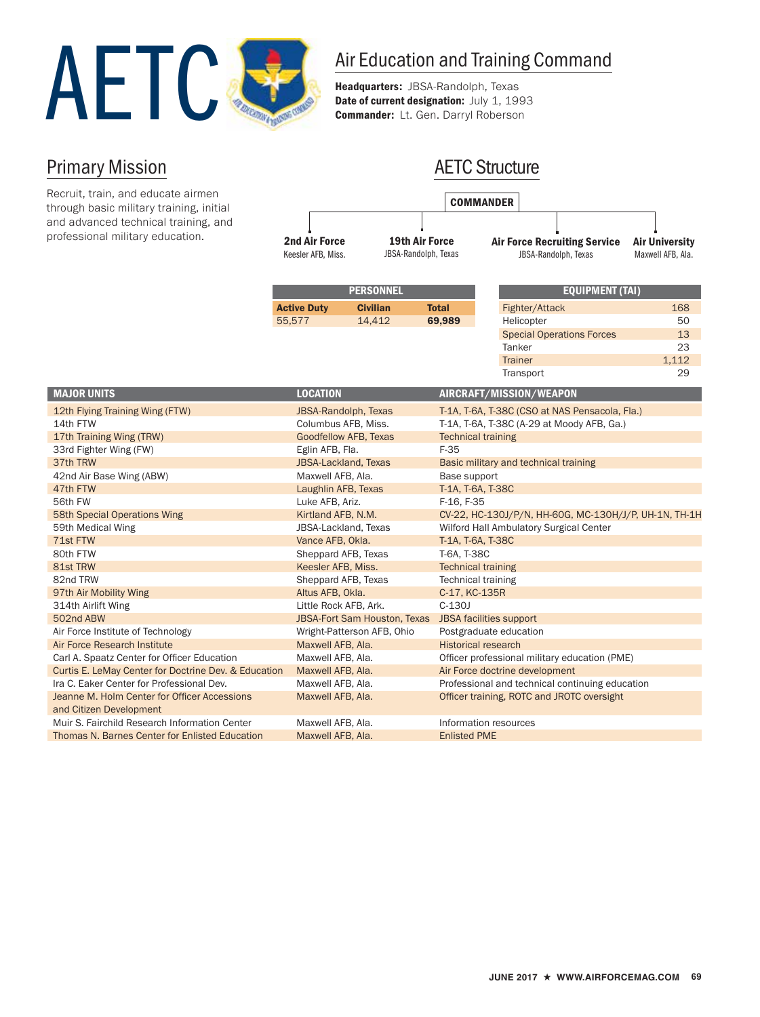

AETC Structure

Headquarters: JBSA-Randolph, Texas Date of current designation: July 1, 1993 Commander: Lt. Gen. Darryl Roberson

## Primary Mission

and Citizen Development

| Recruit, train, and educate airmen<br>through basic military training, initial |                                            |                                               |                           | <b>COMMANDER</b>               |                                                             |                                            |
|--------------------------------------------------------------------------------|--------------------------------------------|-----------------------------------------------|---------------------------|--------------------------------|-------------------------------------------------------------|--------------------------------------------|
| and advanced technical training, and<br>professional military education.       | <b>2nd Air Force</b><br>Keesler AFB, Miss. | <b>19th Air Force</b><br>JBSA-Randolph, Texas |                           |                                | <b>Air Force Recruiting Service</b><br>JBSA-Randolph, Texas | <b>Air University</b><br>Maxwell AFB, Ala. |
|                                                                                |                                            | <b>PERSONNEL</b>                              |                           |                                | <b>EQUIPMENT (TAI)</b>                                      |                                            |
|                                                                                | <b>Active Duty</b>                         | <b>Civilian</b>                               | <b>Total</b>              |                                | Fighter/Attack                                              | 168                                        |
|                                                                                | 55,577                                     | 14,412                                        | 69,989                    | Helicopter                     |                                                             | 50                                         |
|                                                                                |                                            |                                               |                           |                                | <b>Special Operations Forces</b>                            | 13                                         |
|                                                                                |                                            |                                               |                           | Tanker                         |                                                             | 23                                         |
|                                                                                |                                            |                                               |                           | <b>Trainer</b>                 |                                                             | 1,112                                      |
|                                                                                |                                            |                                               |                           | Transport                      |                                                             | 29                                         |
| <b>MAJOR UNITS</b>                                                             | <b>LOCATION</b>                            |                                               |                           | AIRCRAFT/MISSION/WEAPON        |                                                             |                                            |
| 12th Flying Training Wing (FTW)                                                | JBSA-Randolph, Texas                       |                                               |                           |                                | T-1A, T-6A, T-38C (CSO at NAS Pensacola, Fla.)              |                                            |
| 14th FTW                                                                       | Columbus AFB, Miss.                        |                                               |                           |                                | T-1A, T-6A, T-38C (A-29 at Moody AFB, Ga.)                  |                                            |
| 17th Training Wing (TRW)                                                       |                                            | Goodfellow AFB, Texas                         |                           | <b>Technical training</b>      |                                                             |                                            |
| 33rd Fighter Wing (FW)                                                         | Eglin AFB, Fla.                            |                                               | $F-35$                    |                                |                                                             |                                            |
| 37th TRW                                                                       | <b>JBSA-Lackland, Texas</b>                |                                               |                           |                                | Basic military and technical training                       |                                            |
| 42nd Air Base Wing (ABW)                                                       | Maxwell AFB, Ala.                          |                                               | Base support              |                                |                                                             |                                            |
| 47th FTW                                                                       | Laughlin AFB, Texas                        |                                               | T-1A, T-6A, T-38C         |                                |                                                             |                                            |
| 56th FW                                                                        | Luke AFB, Ariz.                            |                                               | F-16, F-35                |                                |                                                             |                                            |
| 58th Special Operations Wing                                                   | Kirtland AFB, N.M.                         |                                               |                           |                                | CV-22, HC-130J/P/N, HH-60G, MC-130H/J/P, UH-1N, TH-1H       |                                            |
| 59th Medical Wing                                                              | JBSA-Lackland, Texas                       |                                               |                           |                                | Wilford Hall Ambulatory Surgical Center                     |                                            |
| 71st FTW                                                                       | Vance AFB, Okla.                           |                                               | T-1A, T-6A, T-38C         |                                |                                                             |                                            |
| 80th FTW                                                                       | Sheppard AFB, Texas                        |                                               | T-6A, T-38C               |                                |                                                             |                                            |
| 81st TRW                                                                       | Keesler AFB, Miss.                         |                                               | <b>Technical training</b> |                                |                                                             |                                            |
| 82nd TRW                                                                       | Sheppard AFB, Texas                        |                                               |                           | <b>Technical training</b>      |                                                             |                                            |
| 97th Air Mobility Wing                                                         | Altus AFB, Okla.                           |                                               | C-17, KC-135R             |                                |                                                             |                                            |
| 314th Airlift Wing                                                             | Little Rock AFB, Ark.                      |                                               | $C-130J$                  |                                |                                                             |                                            |
| 502nd ABW                                                                      |                                            | <b>JBSA-Fort Sam Houston, Texas</b>           |                           | JBSA facilities support        |                                                             |                                            |
| Air Force Institute of Technology                                              |                                            | Wright-Patterson AFB, Ohio                    |                           | Postgraduate education         |                                                             |                                            |
| Air Force Research Institute                                                   | Maxwell AFB, Ala.                          |                                               |                           | <b>Historical research</b>     |                                                             |                                            |
| Carl A. Spaatz Center for Officer Education                                    | Maxwell AFB, Ala.                          |                                               |                           |                                | Officer professional military education (PME)               |                                            |
| Curtis E. LeMay Center for Doctrine Dev. & Education                           | Maxwell AFB, Ala.                          |                                               |                           | Air Force doctrine development |                                                             |                                            |
| Ira C. Eaker Center for Professional Dev.                                      | Maxwell AFB, Ala.                          |                                               |                           |                                | Professional and technical continuing education             |                                            |

Muir S. Fairchild Research Information Center Maxwell AFB, Ala. Information resources Thomas N. Barnes Center for Enlisted Education Maxwell AFB, Ala. Enlisted PME

Jeanne M. Holm Center for Officer Accessions Maxwell AFB, Ala. Officer training, ROTC and JROTC oversight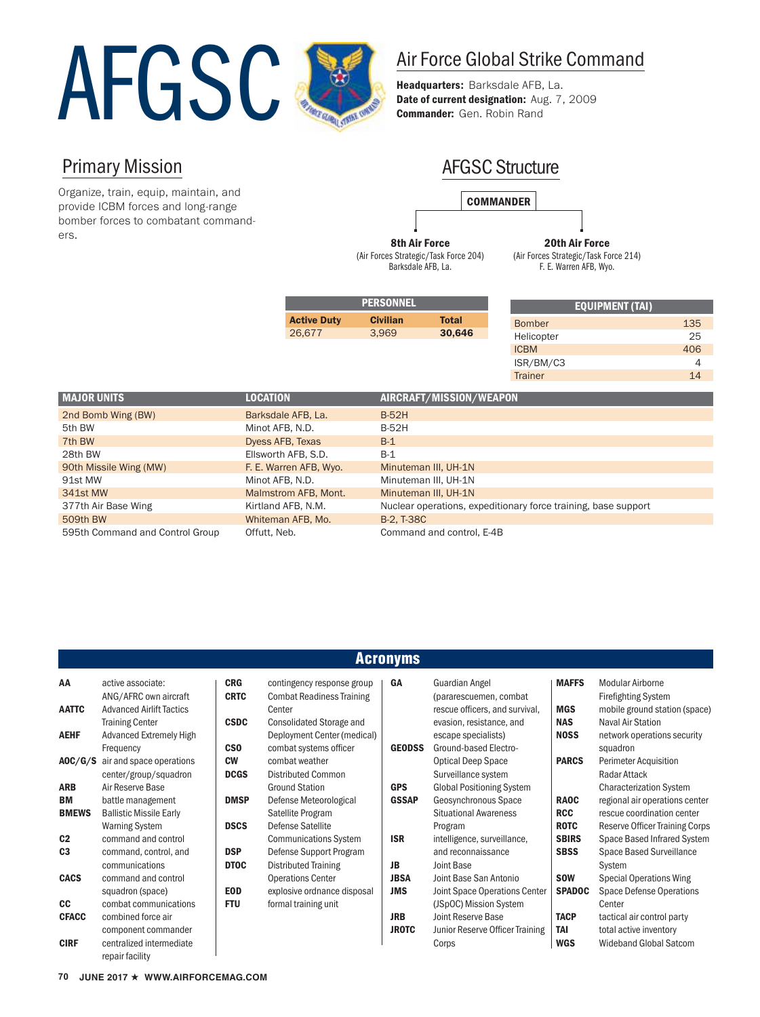

Headquarters: Barksdale AFB, La. Date of current designation: Aug. 7, 2009 Commander: Gen. Robin Rand

## Primary Mission

Organize, train, equip, maintain, and provide ICBM forces and long-range bomber forces to combatant commanders.

## AFGSC Structure



8th Air Force (Air Forces Strategic/Task Force 204) Barksdale AFB, La.

20th Air Force (Air Forces Strategic/Task Force 214) F. E. Warren AFB, Wyo.

| <b>EQUIPMENT (TAI)</b> |     |
|------------------------|-----|
| <b>Bomber</b>          | 135 |
| Helicopter             | 25  |
| <b>ICBM</b>            | 406 |
| ISR/BM/C3              |     |
| <b>Trainer</b>         | 14  |

| <b>MAJOR UNITS</b>              | <b>LOCATION</b>        | AIRCRAFT/MISSION/WEAPON                                        |
|---------------------------------|------------------------|----------------------------------------------------------------|
| 2nd Bomb Wing (BW)              | Barksdale AFB, La.     | <b>B-52H</b>                                                   |
| 5th BW                          | Minot AFB, N.D.        | <b>B-52H</b>                                                   |
| 7th BW                          | Dyess AFB, Texas       | $B-1$                                                          |
| 28th BW                         | Ellsworth AFB, S.D.    | $B-1$                                                          |
| 90th Missile Wing (MW)          | F. E. Warren AFB, Wyo. | Minuteman III, UH-1N                                           |
| 91st MW                         | Minot AFB, N.D.        | Minuteman III, UH-1N                                           |
| 341st MW                        | Malmstrom AFB, Mont.   | Minuteman III, UH-1N                                           |
| 377th Air Base Wing             | Kirtland AFB, N.M.     | Nuclear operations, expeditionary force training, base support |
| 509th BW                        | Whiteman AFB, Mo.      | <b>B-2, T-38C</b>                                              |
| 595th Command and Control Group | Offutt, Neb.           | Command and control, E-4B                                      |

**PERSONNEL** Active Duty Civilian Total 26,677 3,969 30,646

|                | <b>Acronyms</b>                 |             |                                  |               |                                  |               |                                       |
|----------------|---------------------------------|-------------|----------------------------------|---------------|----------------------------------|---------------|---------------------------------------|
| AA             | active associate:               | <b>CRG</b>  | contingency response group       | GA            | <b>Guardian Angel</b>            | <b>MAFFS</b>  | Modular Airborne                      |
|                | ANG/AFRC own aircraft           | <b>CRTC</b> | <b>Combat Readiness Training</b> |               | (pararescuemen, combat           |               | <b>Firefighting System</b>            |
| <b>AATTC</b>   | <b>Advanced Airlift Tactics</b> |             | Center                           |               | rescue officers, and survival,   | <b>MGS</b>    | mobile ground station (space)         |
|                | <b>Training Center</b>          | <b>CSDC</b> | <b>Consolidated Storage and</b>  |               | evasion, resistance, and         | <b>NAS</b>    | <b>Naval Air Station</b>              |
| <b>AEHF</b>    | Advanced Extremely High         |             | Deployment Center (medical)      |               | escape specialists)              | <b>NOSS</b>   | network operations security           |
|                | Frequency                       | <b>CSO</b>  | combat systems officer           | <b>GEODSS</b> | Ground-based Electro-            |               | squadron                              |
| AOC/G/S        | air and space operations        | <b>CW</b>   | combat weather                   |               | <b>Optical Deep Space</b>        | <b>PARCS</b>  | <b>Perimeter Acquisition</b>          |
|                | center/group/squadron           | <b>DCGS</b> | <b>Distributed Common</b>        |               | Surveillance system              |               | Radar Attack                          |
| <b>ARB</b>     | Air Reserve Base                |             | <b>Ground Station</b>            | <b>GPS</b>    | <b>Global Positioning System</b> |               | <b>Characterization System</b>        |
| BM             | battle management               | <b>DMSP</b> | Defense Meteorological           | <b>GSSAP</b>  | Geosynchronous Space             | <b>RAOC</b>   | regional air operations center        |
| <b>BMEWS</b>   | <b>Ballistic Missile Early</b>  |             | Satellite Program                |               | <b>Situational Awareness</b>     | <b>RCC</b>    | rescue coordination center            |
|                | <b>Warning System</b>           | <b>DSCS</b> | <b>Defense Satellite</b>         |               | Program                          | <b>ROTC</b>   | <b>Reserve Officer Training Corps</b> |
| C <sub>2</sub> | command and control             |             | <b>Communications System</b>     | <b>ISR</b>    | intelligence, surveillance,      | <b>SBIRS</b>  | Space Based Infrared System           |
| C <sub>3</sub> | command, control, and           | <b>DSP</b>  | Defense Support Program          |               | and reconnaissance               | <b>SBSS</b>   | <b>Space Based Surveillance</b>       |
|                | communications                  | <b>DTOC</b> | <b>Distributed Training</b>      | JB            | Joint Base                       |               | System                                |
| <b>CACS</b>    | command and control             |             | <b>Operations Center</b>         | <b>JBSA</b>   | Joint Base San Antonio           | <b>SOW</b>    | <b>Special Operations Wing</b>        |
|                | squadron (space)                | <b>EOD</b>  | explosive ordnance disposal      | <b>JMS</b>    | Joint Space Operations Center    | <b>SPADOC</b> | Space Defense Operations              |
| <b>CC</b>      | combat communications           | <b>FTU</b>  | formal training unit             |               | (JSpOC) Mission System           |               | Center                                |
| <b>CFACC</b>   | combined force air              |             |                                  | <b>JRB</b>    | Joint Reserve Base               | <b>TACP</b>   | tactical air control party            |
|                | component commander             |             |                                  | <b>JROTC</b>  | Junior Reserve Officer Training  | TAI           | total active inventory                |
| <b>CIRF</b>    | centralized intermediate        |             |                                  |               | Corps                            | <b>WGS</b>    | <b>Wideband Global Satcom</b>         |
|                | repair facility                 |             |                                  |               |                                  |               |                                       |

**70** JUNE 2017 ★ WWW.AIRFORCEMAG.COM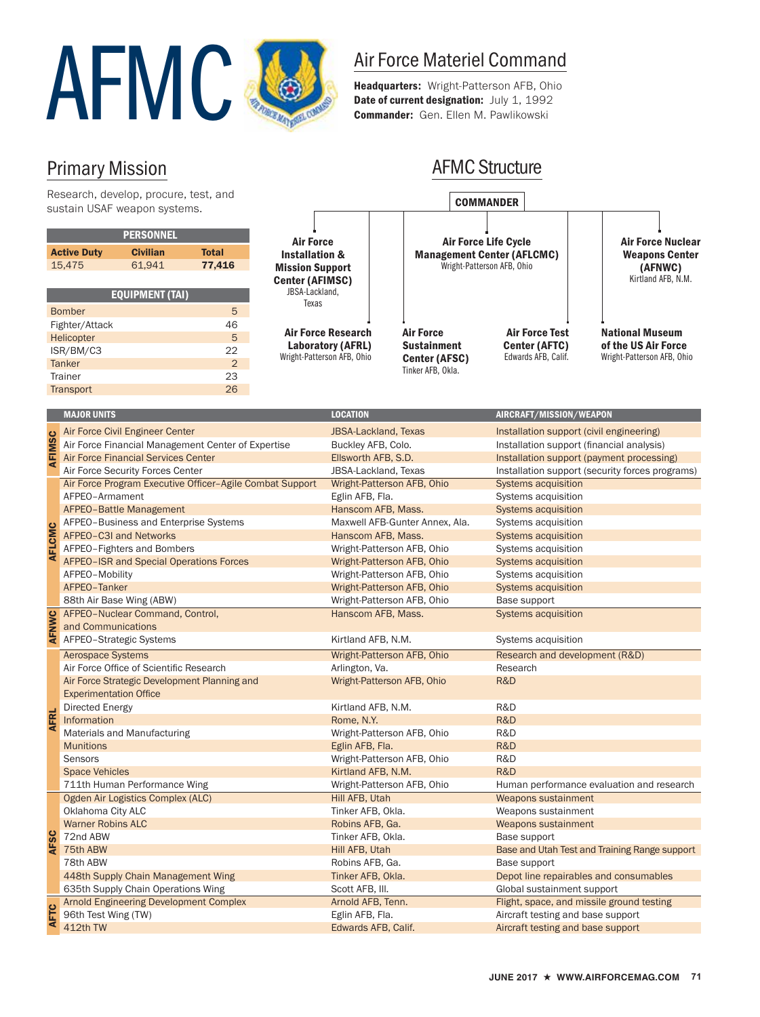

Headquarters: Wright-Patterson AFB, Ohio Date of current designation: July 1, 1992 Commander: Gen. Ellen M. Pawlikowski

COMMANDER

٦

AFMC Structure

## Primary Mission

Research, develop, procure, test, and sustain USAF weapon systems.

|             | <u>Jujiani Obril weapon Jyalenia.</u>   |                                                             |                                                          |                                                          |                             |  |                                |                                   |                                                 |  |
|-------------|-----------------------------------------|-------------------------------------------------------------|----------------------------------------------------------|----------------------------------------------------------|-----------------------------|--|--------------------------------|-----------------------------------|-------------------------------------------------|--|
|             |                                         | <b>PERSONNEL</b>                                            |                                                          |                                                          |                             |  |                                |                                   |                                                 |  |
|             |                                         | <b>Civilian</b>                                             | <b>Total</b>                                             | <b>Air Force</b>                                         |                             |  |                                | <b>Air Force Life Cycle</b>       | <b>Air Force Nuclear</b>                        |  |
|             | <b>Active Duty</b><br>15,475            | 61,941                                                      | 77,416                                                   | <b>Installation &amp;</b>                                |                             |  |                                | <b>Management Center (AFLCMC)</b> | <b>Weapons Center</b>                           |  |
|             |                                         |                                                             |                                                          | <b>Mission Support</b>                                   |                             |  |                                | Wright-Patterson AFB, Ohio        | (AFNWC)<br>Kirtland AFB, N.M.                   |  |
|             |                                         |                                                             |                                                          | <b>Center (AFIMSC)</b><br>JBSA-Lackland,                 |                             |  |                                |                                   |                                                 |  |
|             |                                         | <b>EQUIPMENT (TAI)</b>                                      |                                                          | Texas                                                    |                             |  |                                |                                   |                                                 |  |
|             | <b>Bomber</b>                           |                                                             | 5                                                        |                                                          |                             |  |                                |                                   |                                                 |  |
|             | Fighter/Attack                          |                                                             | 46                                                       |                                                          | <b>Air Force Research</b>   |  | <b>Air Force</b>               | <b>Air Force Test</b>             | <b>National Museum</b>                          |  |
|             | Helicopter                              |                                                             | 5                                                        |                                                          | Laboratory (AFRL)           |  | <b>Sustainment</b>             | <b>Center (AFTC)</b>              | of the US Air Force                             |  |
|             | ISR/BM/C3                               |                                                             | 22                                                       |                                                          | Wright-Patterson AFB, Ohio  |  | Center (AFSC)                  | Edwards AFB, Calif.               | Wright-Patterson AFB, Ohio                      |  |
|             | <b>Tanker</b>                           |                                                             | 2 <sup>1</sup>                                           |                                                          |                             |  | Tinker AFB, Okla.              |                                   |                                                 |  |
|             | Trainer                                 |                                                             | 23                                                       |                                                          |                             |  |                                |                                   |                                                 |  |
|             | Transport                               |                                                             | 26                                                       |                                                          |                             |  |                                |                                   |                                                 |  |
|             | <b>MAJOR UNITS</b>                      |                                                             |                                                          |                                                          | <b>LOCATION</b>             |  |                                | AIRCRAFT/MISSION/WEAPON           |                                                 |  |
|             |                                         |                                                             |                                                          |                                                          |                             |  |                                |                                   |                                                 |  |
|             |                                         | Air Force Civil Engineer Center                             |                                                          |                                                          | <b>JBSA-Lackland, Texas</b> |  |                                |                                   | Installation support (civil engineering)        |  |
| AFIMSC      |                                         |                                                             | Air Force Financial Management Center of Expertise       |                                                          | Buckley AFB, Colo.          |  |                                |                                   | Installation support (financial analysis)       |  |
|             |                                         | Air Force Financial Services Center                         |                                                          |                                                          | Ellsworth AFB, S.D.         |  |                                |                                   | Installation support (payment processing)       |  |
|             |                                         | Air Force Security Forces Center                            |                                                          |                                                          | <b>JBSA-Lackland, Texas</b> |  |                                |                                   | Installation support (security forces programs) |  |
|             |                                         |                                                             | Air Force Program Executive Officer-Agile Combat Support |                                                          |                             |  | Wright-Patterson AFB, Ohio     | Systems acquisition               |                                                 |  |
|             | AFPEO-Armament                          |                                                             |                                                          |                                                          | Eglin AFB, Fla.             |  |                                | Systems acquisition               |                                                 |  |
|             | AFPEO-Battle Management                 |                                                             |                                                          |                                                          | Hanscom AFB, Mass.          |  |                                | Systems acquisition               |                                                 |  |
|             | AFPEO-Business and Enterprise Systems   |                                                             |                                                          |                                                          |                             |  | Maxwell AFB-Gunter Annex, Ala. | Systems acquisition               |                                                 |  |
|             |                                         | AFPEO-C3I and Networks                                      |                                                          |                                                          | Hanscom AFB, Mass.          |  |                                | Systems acquisition               |                                                 |  |
|             | AFLCMC<br>AFPEO-Fighters and Bombers    |                                                             |                                                          | Wright-Patterson AFB, Ohio                               |                             |  | Systems acquisition            |                                   |                                                 |  |
|             | AFPEO-ISR and Special Operations Forces |                                                             |                                                          | Wright-Patterson AFB, Ohio<br>Wright-Patterson AFB, Ohio |                             |  | Systems acquisition            |                                   |                                                 |  |
|             | AFPEO-Mobility                          |                                                             |                                                          |                                                          |                             |  | Systems acquisition            |                                   |                                                 |  |
|             | AFPEO-Tanker                            |                                                             |                                                          |                                                          |                             |  | Wright-Patterson AFB, Ohio     | <b>Systems acquisition</b>        |                                                 |  |
|             |                                         | 88th Air Base Wing (ABW)<br>AFPEO-Nuclear Command, Control, |                                                          |                                                          |                             |  | Wright-Patterson AFB, Ohio     | Base support                      |                                                 |  |
|             | and Communications                      |                                                             |                                                          |                                                          | Hanscom AFB, Mass.          |  |                                | <b>Systems acquisition</b>        |                                                 |  |
| AFNWC       |                                         | AFPEO-Strategic Systems                                     |                                                          |                                                          | Kirtland AFB, N.M.          |  |                                | Systems acquisition               |                                                 |  |
|             | Aerospace Systems                       |                                                             |                                                          |                                                          |                             |  | Wright-Patterson AFB, Ohio     |                                   | Research and development (R&D)                  |  |
|             |                                         | Air Force Office of Scientific Research                     |                                                          |                                                          | Arlington, Va.              |  |                                | Research                          |                                                 |  |
|             |                                         |                                                             | Air Force Strategic Development Planning and             |                                                          |                             |  | Wright-Patterson AFB, Ohio     | R&D                               |                                                 |  |
|             | <b>Experimentation Office</b>           |                                                             |                                                          |                                                          |                             |  |                                |                                   |                                                 |  |
|             | Directed Energy                         |                                                             |                                                          |                                                          | Kirtland AFB, N.M.          |  |                                | R&D                               |                                                 |  |
| <b>AFRL</b> | Information                             |                                                             |                                                          |                                                          | Rome, N.Y.                  |  |                                | R&D                               |                                                 |  |
|             |                                         | Materials and Manufacturing                                 |                                                          |                                                          |                             |  | Wright-Patterson AFB, Ohio     | R&D                               |                                                 |  |
|             | <b>Munitions</b>                        |                                                             |                                                          |                                                          | Eglin AFB, Fla.             |  |                                | R&D                               |                                                 |  |
|             | Sensors                                 |                                                             |                                                          |                                                          |                             |  | Wright-Patterson AFB, Ohio     | R&D                               |                                                 |  |
|             | <b>Space Vehicles</b>                   |                                                             |                                                          |                                                          | Kirtland AFB, N.M.          |  |                                | R&D                               |                                                 |  |
|             |                                         | 711th Human Performance Wing                                |                                                          |                                                          |                             |  | Wright-Patterson AFB, Ohio     |                                   | Human performance evaluation and research       |  |
|             |                                         | Ogden Air Logistics Complex (ALC)                           |                                                          |                                                          | Hill AFB, Utah              |  |                                | Weapons sustainment               |                                                 |  |
|             | Oklahoma City ALC                       |                                                             |                                                          |                                                          | Tinker AFB, Okla.           |  |                                | Weapons sustainment               |                                                 |  |
|             | <b>Warner Robins ALC</b>                |                                                             |                                                          |                                                          | Robins AFB, Ga.             |  |                                | Weapons sustainment               |                                                 |  |
| <b>AFSC</b> | 72nd ABW                                |                                                             |                                                          |                                                          | Tinker AFB, Okla.           |  |                                | Base support                      |                                                 |  |
|             | 75th ABW                                |                                                             |                                                          |                                                          | Hill AFB, Utah              |  |                                |                                   | Base and Utah Test and Training Range support   |  |
|             | 78th ABW                                |                                                             |                                                          |                                                          | Robins AFB, Ga.             |  |                                | Base support                      |                                                 |  |
|             |                                         | 448th Supply Chain Management Wing                          |                                                          |                                                          | Tinker AFB, Okla.           |  |                                |                                   | Depot line repairables and consumables          |  |
|             |                                         | 635th Supply Chain Operations Wing                          |                                                          |                                                          | Scott AFB, III.             |  |                                | Global sustainment support        |                                                 |  |
|             |                                         |                                                             | Arnold Engineering Development Complex                   |                                                          | Arnold AFB, Tenn.           |  |                                |                                   | Flight, space, and missile ground testing       |  |
| <b>AFTC</b> | 96th Test Wing (TW)                     |                                                             |                                                          |                                                          | Eglin AFB, Fla.             |  |                                |                                   | Aircraft testing and base support               |  |
|             | 412th TW                                |                                                             |                                                          |                                                          | Edwards AFB, Calif.         |  |                                |                                   | Aircraft testing and base support               |  |

 $\Gamma$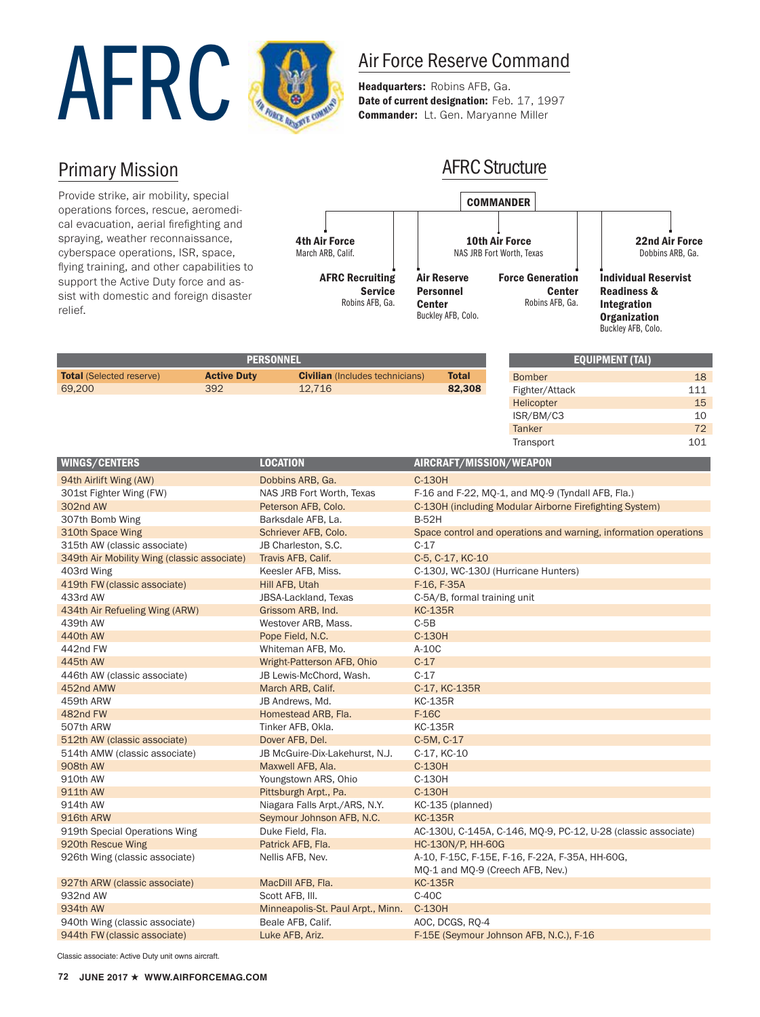

Headquarters: Robins AFB, Ga. Date of current designation: Feb. 17, 1997 Commander: Lt. Gen. Maryanne Miller

## Primary Mission

Provide strike, air mobility, special operations forces, rescue, aeromedical evacuation, aerial firefighting and spraying, weather reconnaissance, cyberspace operations, ISR, space, flying training, and other capabilities to support the Active Duty force and assist with domestic and foreign disaster relief.



| <b>PERSONNEL</b>                |                    |                                        |              |
|---------------------------------|--------------------|----------------------------------------|--------------|
| <b>Total</b> (Selected reserve) | <b>Active Duty</b> | <b>Civilian</b> (Includes technicians) | <b>Total</b> |
| 69,200                          | 392                | 12.716                                 | 82,308       |
|                                 |                    |                                        |              |

| <b>EQUIPMENT (TAI)</b> |     |  |  |  |
|------------------------|-----|--|--|--|
| <b>Bomber</b>          | 18  |  |  |  |
| Fighter/Attack         | 111 |  |  |  |
| Helicopter             | 15  |  |  |  |
| ISR/BM/C3              | 10  |  |  |  |
| <b>Tanker</b>          | 72  |  |  |  |
| Transport              | 101 |  |  |  |

| WINGS/CENTERS                               | <b>LOCATION</b>                   | AIRCRAFT/MISSION/WEAPON                                          |
|---------------------------------------------|-----------------------------------|------------------------------------------------------------------|
| 94th Airlift Wing (AW)                      | Dobbins ARB, Ga.                  | C-130H                                                           |
| 301st Fighter Wing (FW)                     | NAS JRB Fort Worth, Texas         | F-16 and F-22, MQ-1, and MQ-9 (Tyndall AFB, Fla.)                |
| 302nd AW                                    | Peterson AFB, Colo.               | C-130H (including Modular Airborne Firefighting System)          |
| 307th Bomb Wing                             | Barksdale AFB, La.                | <b>B-52H</b>                                                     |
| 310th Space Wing                            | Schriever AFB, Colo.              | Space control and operations and warning, information operations |
| 315th AW (classic associate)                | JB Charleston, S.C.               | $C-17$                                                           |
| 349th Air Mobility Wing (classic associate) | Travis AFB, Calif.                | C-5, C-17, KC-10                                                 |
| 403rd Wing                                  | Keesler AFB, Miss.                | C-130J, WC-130J (Hurricane Hunters)                              |
| 419th FW (classic associate)                | Hill AFB, Utah                    | F-16, F-35A                                                      |
| 433rd AW                                    | JBSA-Lackland, Texas              | C-5A/B, formal training unit                                     |
| 434th Air Refueling Wing (ARW)              | Grissom ARB, Ind.                 | <b>KC-135R</b>                                                   |
| 439th AW                                    | Westover ARB, Mass.               | $C-5B$                                                           |
| 440th AW                                    | Pope Field, N.C.                  | C-130H                                                           |
| 442nd FW                                    | Whiteman AFB, Mo.                 | $A-10C$                                                          |
| 445th AW                                    | Wright-Patterson AFB, Ohio        | $C-17$                                                           |
| 446th AW (classic associate)                | JB Lewis-McChord, Wash.           | $C-17$                                                           |
| 452nd AMW                                   | March ARB, Calif.                 | C-17, KC-135R                                                    |
| 459th ARW                                   | JB Andrews, Md.                   | <b>KC-135R</b>                                                   |
| 482nd FW                                    | Homestead ARB, Fla.               | F-16C                                                            |
| 507th ARW                                   | Tinker AFB, Okla.                 | <b>KC-135R</b>                                                   |
| 512th AW (classic associate)                | Dover AFB, Del.                   | C-5M, C-17                                                       |
| 514th AMW (classic associate)               | JB McGuire-Dix-Lakehurst, N.J.    | C-17, KC-10                                                      |
| 908th AW                                    | Maxwell AFB, Ala.                 | C-130H                                                           |
| 910th AW                                    | Youngstown ARS, Ohio              | C-130H                                                           |
| 911th AW                                    | Pittsburgh Arpt., Pa.             | C-130H                                                           |
| 914th AW                                    | Niagara Falls Arpt./ARS, N.Y.     | KC-135 (planned)                                                 |
| 916th ARW                                   | Seymour Johnson AFB, N.C.         | <b>KC-135R</b>                                                   |
| 919th Special Operations Wing               | Duke Field, Fla.                  | AC-130U, C-145A, C-146, MQ-9, PC-12, U-28 (classic associate)    |
| 920th Rescue Wing                           | Patrick AFB, Fla.                 | HC-130N/P, HH-60G                                                |
| 926th Wing (classic associate)              | Nellis AFB, Nev.                  | A-10, F-15C, F-15E, F-16, F-22A, F-35A, HH-60G,                  |
|                                             |                                   | MQ-1 and MQ-9 (Creech AFB, Nev.)                                 |
| 927th ARW (classic associate)               | MacDill AFB, Fla.                 | <b>KC-135R</b>                                                   |
| 932nd AW                                    | Scott AFB, III.                   | $C-4OC$                                                          |
| 934th AW                                    | Minneapolis-St. Paul Arpt., Minn. | C-130H                                                           |
| 940th Wing (classic associate)              | Beale AFB, Calif.                 | AOC, DCGS, RQ-4                                                  |
| 944th FW (classic associate)                | Luke AFB, Ariz.                   | F-15E (Seymour Johnson AFB, N.C.), F-16                          |

Classic associate: Active Duty unit owns aircraft.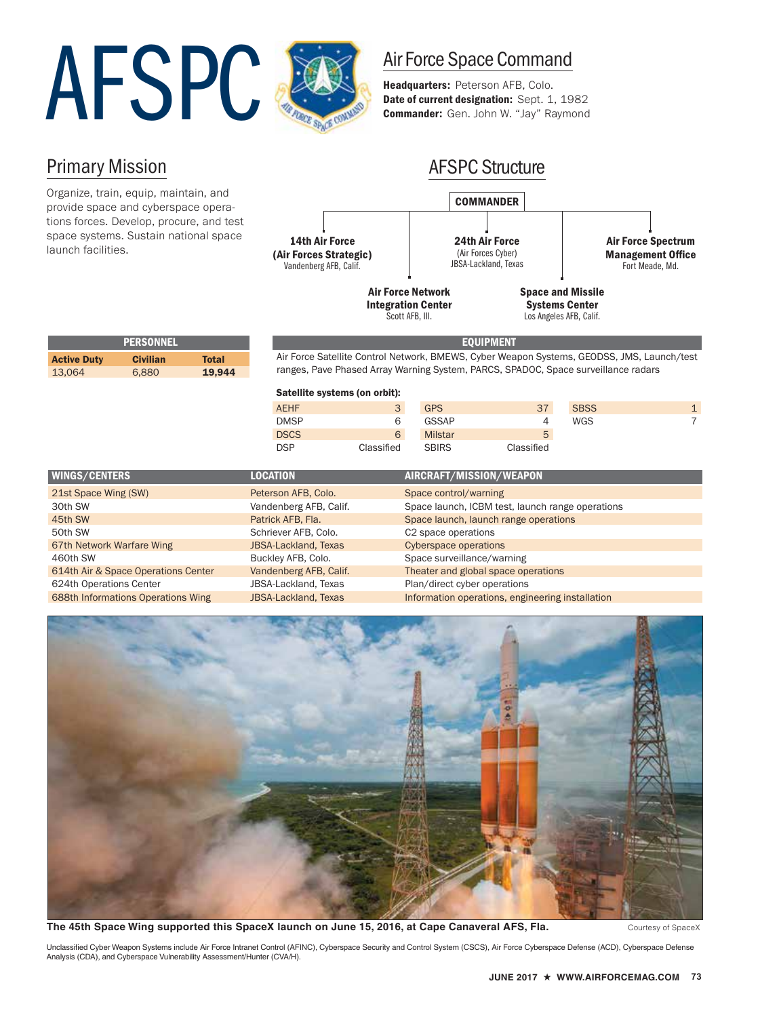# Air Force Space Command<br>
Headquarters: Peterson AFB, Colo.<br>
Date of current designation: Sept. 1, 19<br>
Commander: Gen. John W. "Jay" Raymo



Headquarters: Peterson AFB, Colo. Date of current designation: Sept. 1, 1982 Commander: Gen. John W. "Jay" Raymond

## Primary Mission

Organize, train, equip, maintain, and provide space and cyberspace operations forces. Develop, procure, and test space systems. Sustain national space launch facilities.



Scott AFB, Ill.

Los Angeles AFB, Calif.

|                    | <b>PERSONNEL</b> |        | <b>EOUIPMENT</b>                                                                           |
|--------------------|------------------|--------|--------------------------------------------------------------------------------------------|
| <b>Active Duty</b> | <b>Civilian</b>  | Total  | Air Force Satellite Control Network, BMEWS, Cyber Weapon Systems, GEODSS, JMS, Launch/test |
| 13.064             | 6.880            | 19.944 | ranges, Pave Phased Array Warning System, PARCS, SPADOC, Space surveillance radars         |

ray Warning System, PARCS, SPADOC, Space surveillance radars Satellite systems (on orbit):

| <b>SBSS</b> |
|-------------|
| <b>WGS</b>  |
|             |
|             |
|             |

| <b>WINGS/CENTERS</b>                | <b>LOCATION</b>             | AIRCRAFT/MISSION/WEAPON                          |
|-------------------------------------|-----------------------------|--------------------------------------------------|
| 21st Space Wing (SW)                | Peterson AFB, Colo.         | Space control/warning                            |
| 30th SW                             | Vandenberg AFB, Calif.      | Space launch, ICBM test, launch range operations |
| 45th SW                             | Patrick AFB, Fla.           | Space launch, launch range operations            |
| 50th SW                             | Schriever AFB, Colo.        | C <sub>2</sub> space operations                  |
| 67th Network Warfare Wing           | <b>JBSA-Lackland, Texas</b> | <b>Cyberspace operations</b>                     |
| 460th SW                            | Buckley AFB, Colo.          | Space surveillance/warning                       |
| 614th Air & Space Operations Center | Vandenberg AFB, Calif.      | Theater and global space operations              |
| 624th Operations Center             | JBSA-Lackland, Texas        | Plan/direct cyber operations                     |
| 688th Informations Operations Wing  | <b>JBSA-Lackland, Texas</b> | Information operations, engineering installation |



The 45th Space Wing supported this SpaceX launch on June 15, 2016, at Cape Canaveral AFS, Fla. Courtesy of SpaceX

Unclassified Cyber Weapon Systems include Air Force Intranet Control (AFINC), Cyberspace Security and Control System (CSCS), Air Force Cyberspace Defense (ACD), Cyberspace Defense Analysis (CDA), and Cyberspace Vulnerability Assessment/Hunter (CVA/H).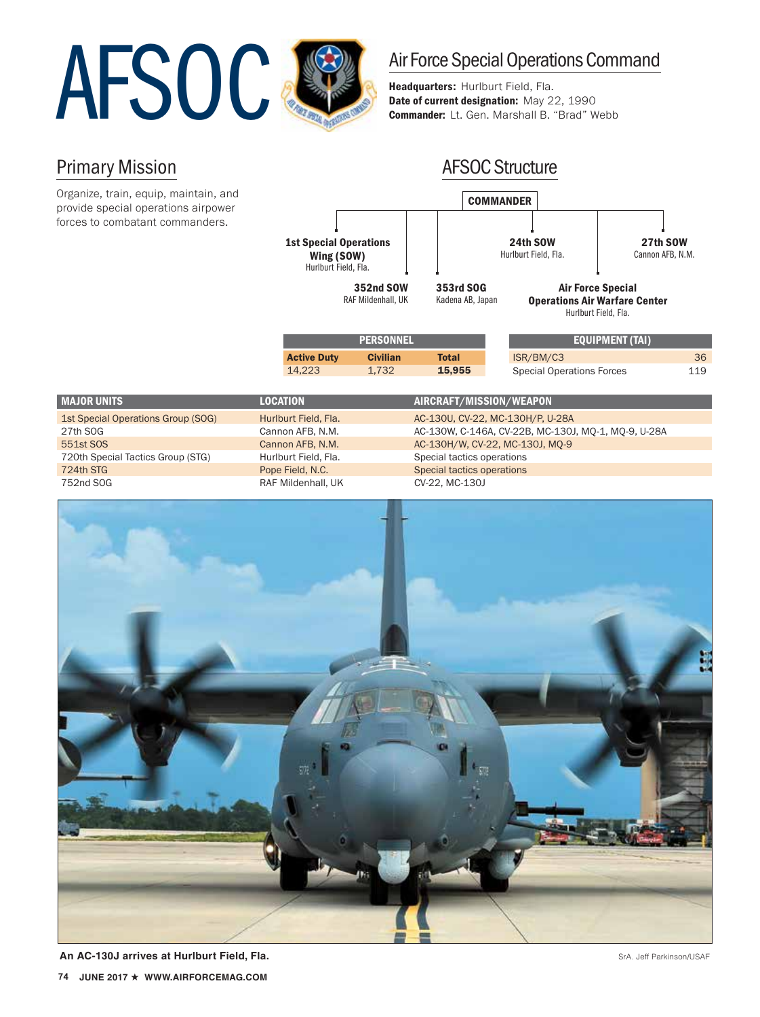

Headquarters: Hurlburt Field, Fla. Date of current designation: May 22, 1990 Commander: Lt. Gen. Marshall B. "Brad" Webb

## Primary Mission

Organize, train, equip, maintain, and provide special operations airpower forces to combatant commanders.



| <b>MAJOR UNITS</b>                 | <b>LOCATION</b>      | AIRCRAFT/MISSION/WEAPON                             |
|------------------------------------|----------------------|-----------------------------------------------------|
| 1st Special Operations Group (SOG) | Hurlburt Field, Fla. | AC-130U, CV-22, MC-130H/P, U-28A                    |
| 27th SOG                           | Cannon AFB, N.M.     | AC-130W, C-146A, CV-22B, MC-130J, MO-1, MO-9, U-28A |
| 551st SOS                          | Cannon AFB, N.M.     | AC-130H/W, CV-22, MC-130J, MO-9                     |
| 720th Special Tactics Group (STG)  | Hurlburt Field, Fla. | Special tactics operations                          |
| 724th STG                          | Pope Field, N.C.     | Special tactics operations                          |
| 752nd SOG                          | RAF Mildenhall, UK   | CV-22, MC-130J                                      |



**An AC-130J arrives at Hurlburt Field, Fla.** Srandom Communication Communication Communication Care Srandom Care Srandom Care Srandom Care Srandom Care Srandom Care Srandom Care Srandom Care Srandom Care Srandom Care Srand **74** JUNE 2017 ★ WWW.AIRFORCEMAG.COM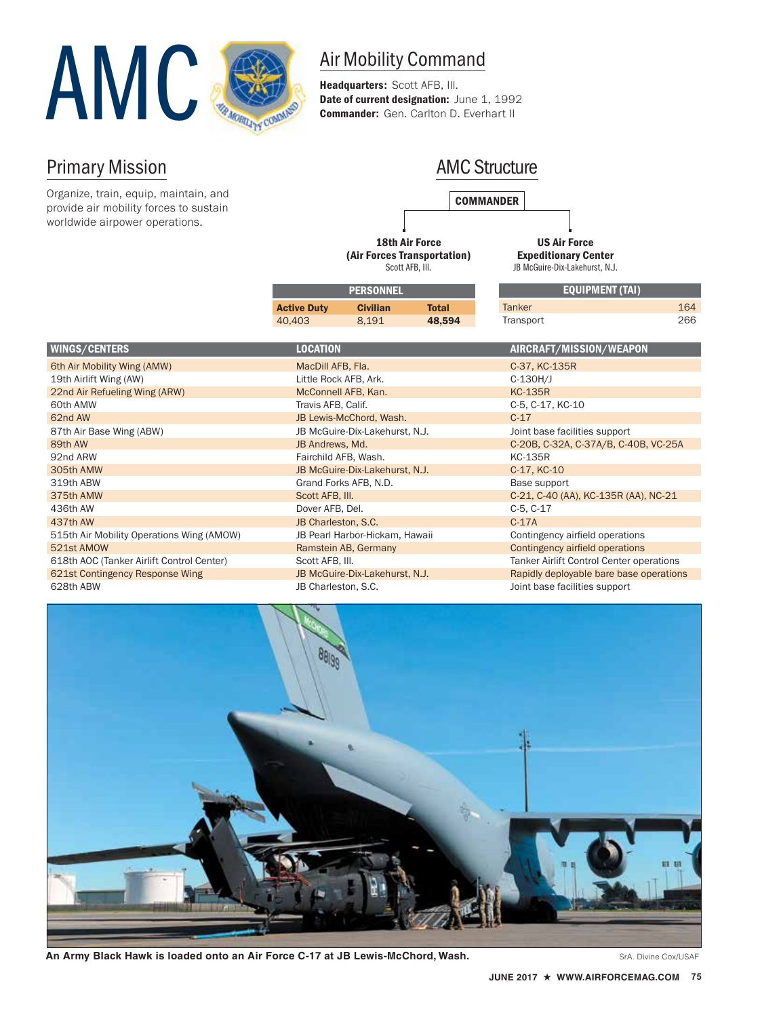

Headquarters: Scott AFB, III. Date of current designation: June 1, 1992 Commander: Gen. Carlton D. Everhart II

## Primary Mission

Organize, train, equip, maintain, and provide air mobility forces to sustain worldwide airpower operations.

## AMC Structure

**COMMANDER** 

18th Air Force (Air Forces Transportation) Scott AFB, Ill.

US Air Force Expeditionary Center JB McGuire-Dix-Lakehurst, N.J.

| <b>PERSONNEL</b>   |                 |        | <b>EQUIPMENT (TAI)</b> |     |
|--------------------|-----------------|--------|------------------------|-----|
| <b>Active Duty</b> | <b>Civilian</b> | Total  | <b>Tanker</b>          | 164 |
| 40.403             | 8.191           | 48.594 | Transport              | 266 |
|                    |                 |        |                        |     |

| <b>WINGS/CENTERS</b>                      | <b>LOCATION</b>                | AIRCRAFT/MISSION/WEAPON                  |
|-------------------------------------------|--------------------------------|------------------------------------------|
| 6th Air Mobility Wing (AMW)               | MacDill AFB, Fla.              | C-37, KC-135R                            |
| 19th Airlift Wing (AW)                    | Little Rock AFB, Ark.          | $C-130H/J$                               |
| 22nd Air Refueling Wing (ARW)             | McConnell AFB, Kan.            | <b>KC-135R</b>                           |
| 60th AMW                                  | Travis AFB, Calif.             | C-5, C-17, KC-10                         |
| 62nd AW                                   | JB Lewis-McChord, Wash.        | $C-17$                                   |
| 87th Air Base Wing (ABW)                  | JB McGuire-Dix-Lakehurst, N.J. | Joint base facilities support            |
| 89th AW                                   | JB Andrews, Md.                | C-20B, C-32A, C-37A/B, C-40B, VC-25A     |
| 92nd ARW                                  | Fairchild AFB, Wash.           | <b>KC-135R</b>                           |
| 305th AMW                                 | JB McGuire-Dix-Lakehurst, N.J. | C-17, KC-10                              |
| 319th ABW                                 | Grand Forks AFB, N.D.          | Base support                             |
| 375th AMW                                 | Scott AFB, III.                | C-21, C-40 (AA), KC-135R (AA), NC-21     |
| 436th AW                                  | Dover AFB, Del.                | $C-5, C-17$                              |
| 437th AW                                  | JB Charleston, S.C.            | $C-17A$                                  |
| 515th Air Mobility Operations Wing (AMOW) | JB Pearl Harbor-Hickam, Hawaii | Contingency airfield operations          |
| 521st AMOW                                | Ramstein AB, Germany           | Contingency airfield operations          |
| 618th AOC (Tanker Airlift Control Center) | Scott AFB, III.                | Tanker Airlift Control Center operations |
| 621st Contingency Response Wing           | JB McGuire-Dix-Lakehurst, N.J. | Rapidly deployable bare base operations  |
| 628th ABW                                 | JB Charleston, S.C.            | Joint base facilities support            |



An Army Black Hawk is loaded onto an Air Force C-17 at JB Lewis-McChord, Wash. Sand The State Cox/USAF State Cox/USAF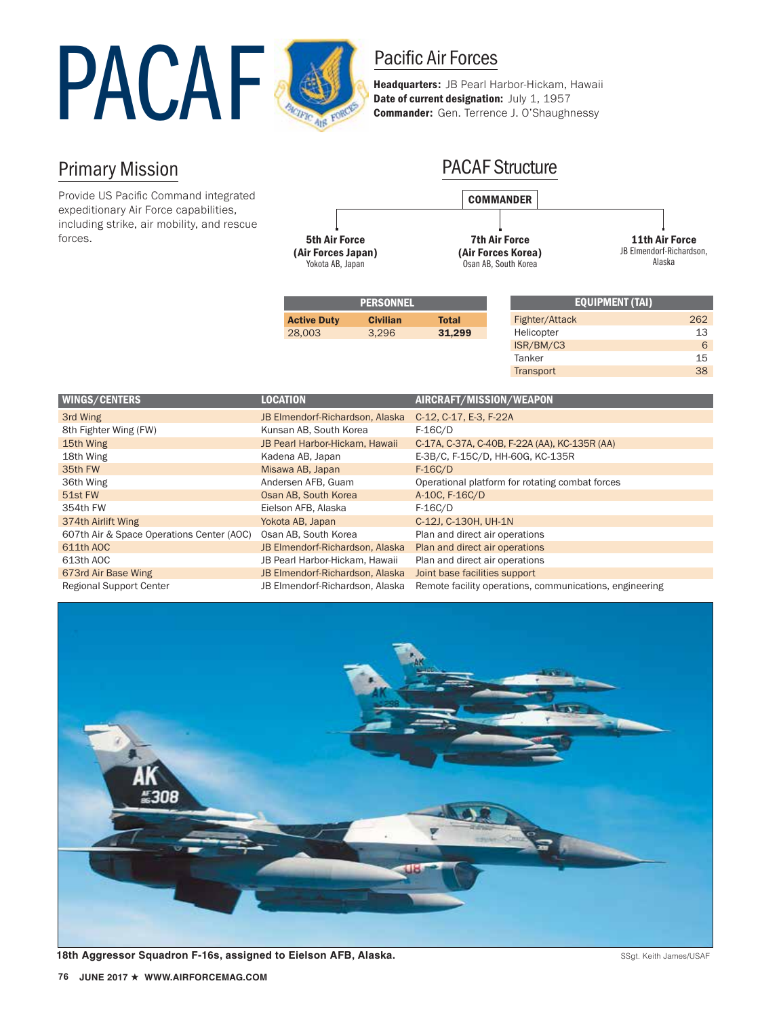

Headquarters: JB Pearl Harbor-Hickam, Hawaii Date of current designation: July 1, 1957 Commander: Gen. Terrence J. O'Shaughnessy

## Primary Mission

Provide US Pacific Command integrated expeditionary Air Force capabilities, including strike, air mobility, and rescue forces.



| <b>PERSONNEL</b>   |                 |              | <b>EQUIPMENT (TAI)</b> |     |
|--------------------|-----------------|--------------|------------------------|-----|
| <b>Active Duty</b> | <b>Civilian</b> | <b>Total</b> | Fighter/Attack         | 262 |
| 28,003             | 3.296           | 31.299       | Helicopter             | 13  |
|                    |                 |              | ISR/BM/C3              | 6   |

Tanker 15 **Transport** 38

| <b>WINGS/CENTERS</b>                      | <b>LOCATION</b>                 | AIRCRAFT/MISSION/WEAPON                                 |
|-------------------------------------------|---------------------------------|---------------------------------------------------------|
| 3rd Wing                                  | JB Elmendorf-Richardson, Alaska | C-12, C-17, E-3, F-22A                                  |
| 8th Fighter Wing (FW)                     | Kunsan AB, South Korea          | $F-16C/D$                                               |
| 15th Wing                                 | JB Pearl Harbor-Hickam, Hawaii  | C-17A, C-37A, C-40B, F-22A (AA), KC-135R (AA)           |
| 18th Wing                                 | Kadena AB, Japan                | E-3B/C, F-15C/D, HH-60G, KC-135R                        |
| 35th FW                                   | Misawa AB, Japan                | $F-16C/D$                                               |
| 36th Wing                                 | Andersen AFB, Guam              | Operational platform for rotating combat forces         |
| 51st FW                                   | Osan AB, South Korea            | A-10C, F-16C/D                                          |
| 354th FW                                  | Eielson AFB, Alaska             | $F-16C/D$                                               |
| 374th Airlift Wing                        | Yokota AB, Japan                | C-12J, C-130H, UH-1N                                    |
| 607th Air & Space Operations Center (AOC) | Osan AB, South Korea            | Plan and direct air operations                          |
| 611th AOC                                 | JB Elmendorf-Richardson, Alaska | Plan and direct air operations                          |
| 613th AOC                                 | JB Pearl Harbor-Hickam, Hawaii  | Plan and direct air operations                          |
| 673rd Air Base Wing                       | JB Elmendorf-Richardson, Alaska | Joint base facilities support                           |
| <b>Regional Support Center</b>            | JB Elmendorf-Richardson, Alaska | Remote facility operations, communications, engineering |



18th Aggressor Squadron F-16s, assigned to Eielson AFB, Alaska. Same and the state of the State State State Index State Index State Index State Index State Index State Index State Index State Index State Index State Index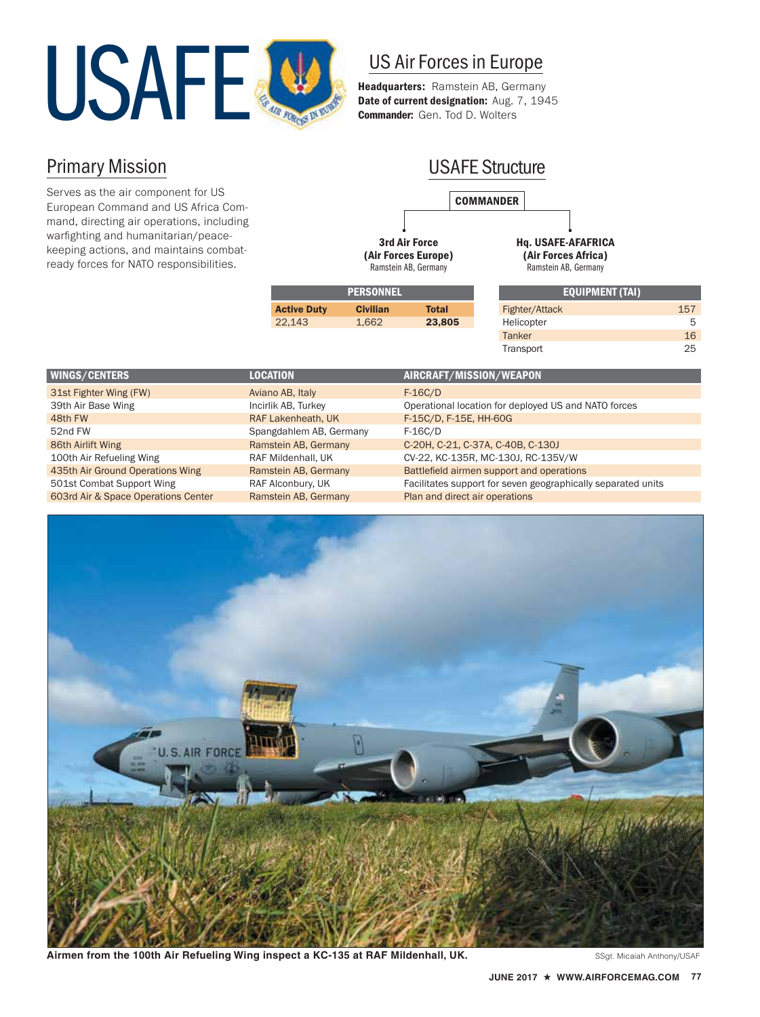

## US Air Forces in Europe

Headquarters: Ramstein AB, Germany Date of current designation: Aug. 7, 1945 Commander: Gen. Tod D. Wolters

## Primary Mission

Serves as the air component for US European Command and US Africa Command, directing air operations, including warfighting and humanitarian/peacekeeping actions, and maintains combatready forces for NATO responsibilities.

## **COMMANDER** USAFE Structure

3rd Air Force (Air Forces Europe) Ramstein AB, Germany

Hq. USAFE-AFAFRICA (Air Forces Africa)

Ramstein AB, Germany

Transport 25

| <b>PERSONNEL</b>   |                 |        | ' EQUIPMENT (TAI), |     |
|--------------------|-----------------|--------|--------------------|-----|
| <b>Active Duty</b> | <b>Civilian</b> | Total  | Fighter/Attack     | 157 |
| 22.143             | 1.662           | 23,805 | Helicopter         | 5   |
|                    |                 |        | <b>Tanker</b>      | 16  |

| WINGS/CENTERS                       | <b>LOCATION</b>         | AIRCRAFT/MISSION/WEAPON                                      |
|-------------------------------------|-------------------------|--------------------------------------------------------------|
| 31st Fighter Wing (FW)              | Aviano AB, Italy        | $F-16C/D$                                                    |
| 39th Air Base Wing                  | Incirlik AB, Turkey     | Operational location for deployed US and NATO forces         |
| 48th FW                             | RAF Lakenheath, UK      | F-15C/D, F-15E, HH-60G                                       |
| 52nd FW                             | Spangdahlem AB, Germany | $F-16C/D$                                                    |
| 86th Airlift Wing                   | Ramstein AB, Germany    | C-20H, C-21, C-37A, C-40B, C-130J                            |
| 100th Air Refueling Wing            | RAF Mildenhall, UK      | CV-22, KC-135R, MC-130J, RC-135V/W                           |
| 435th Air Ground Operations Wing    | Ramstein AB, Germany    | Battlefield airmen support and operations                    |
| 501st Combat Support Wing           | RAF Alconbury, UK       | Facilitates support for seven geographically separated units |
| 603rd Air & Space Operations Center | Ramstein AB, Germany    | Plan and direct air operations                               |



Airmen from the 100th Air Refueling Wing inspect a KC-135 at RAF Mildenhall, UK. Sagt. Micaiah Anthony/USAF